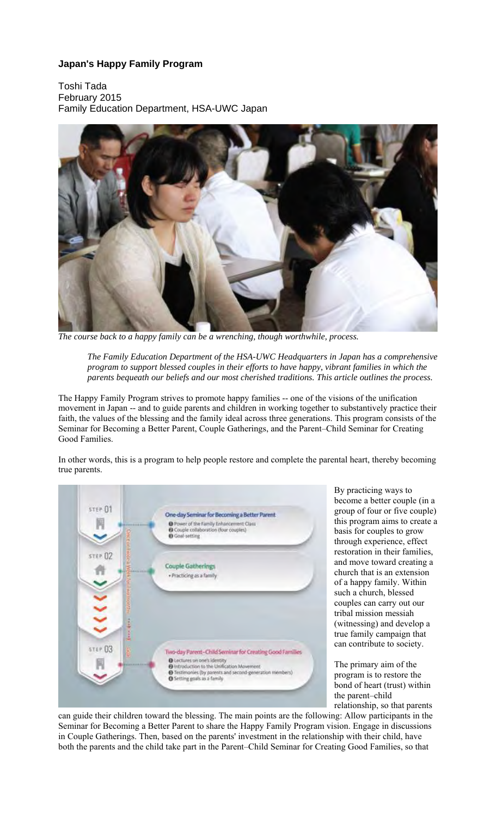# **Japan's Happy Family Program**

Toshi Tada February 2015 Family Education Department, HSA-UWC Japan



*The course back to a happy family can be a wrenching, though worthwhile, process.* 

*The Family Education Department of the HSA-UWC Headquarters in Japan has a comprehensive program to support blessed couples in their efforts to have happy, vibrant families in which the parents bequeath our beliefs and our most cherished traditions. This article outlines the process.* 

The Happy Family Program strives to promote happy families -- one of the visions of the unification movement in Japan -- and to guide parents and children in working together to substantively practice their faith, the values of the blessing and the family ideal across three generations. This program consists of the Seminar for Becoming a Better Parent, Couple Gatherings, and the Parent–Child Seminar for Creating Good Families.

In other words, this is a program to help people restore and complete the parental heart, thereby becoming true parents.



By practicing ways to become a better couple (in a group of four or five couple) this program aims to create a basis for couples to grow through experience, effect restoration in their families, and move toward creating a church that is an extension of a happy family. Within such a church, blessed couples can carry out our tribal mission messiah (witnessing) and develop a true family campaign that can contribute to society.

The primary aim of the program is to restore the bond of heart (trust) within the parent–child relationship, so that parents

can guide their children toward the blessing. The main points are the following: Allow participants in the Seminar for Becoming a Better Parent to share the Happy Family Program vision. Engage in discussions in Couple Gatherings. Then, based on the parents' investment in the relationship with their child, have both the parents and the child take part in the Parent–Child Seminar for Creating Good Families, so that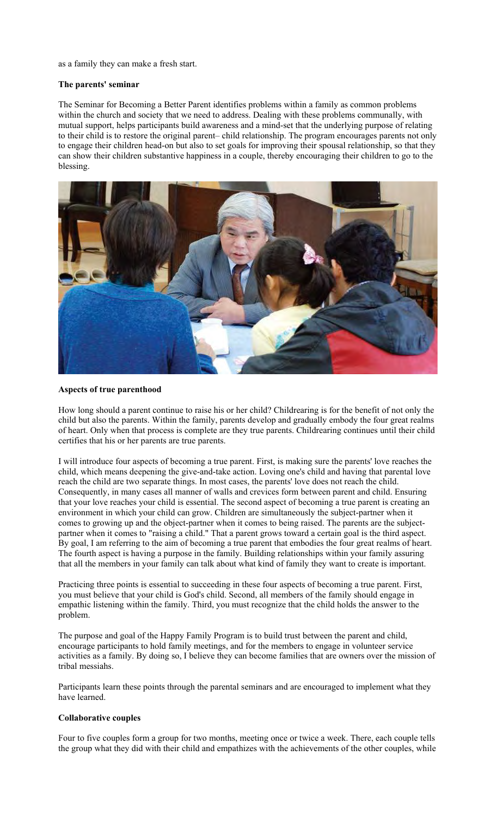as a family they can make a fresh start.

#### **The parents' seminar**

The Seminar for Becoming a Better Parent identifies problems within a family as common problems within the church and society that we need to address. Dealing with these problems communally, with mutual support, helps participants build awareness and a mind-set that the underlying purpose of relating to their child is to restore the original parent– child relationship. The program encourages parents not only to engage their children head-on but also to set goals for improving their spousal relationship, so that they can show their children substantive happiness in a couple, thereby encouraging their children to go to the blessing.



#### **Aspects of true parenthood**

How long should a parent continue to raise his or her child? Childrearing is for the benefit of not only the child but also the parents. Within the family, parents develop and gradually embody the four great realms of heart. Only when that process is complete are they true parents. Childrearing continues until their child certifies that his or her parents are true parents.

I will introduce four aspects of becoming a true parent. First, is making sure the parents' love reaches the child, which means deepening the give-and-take action. Loving one's child and having that parental love reach the child are two separate things. In most cases, the parents' love does not reach the child. Consequently, in many cases all manner of walls and crevices form between parent and child. Ensuring that your love reaches your child is essential. The second aspect of becoming a true parent is creating an environment in which your child can grow. Children are simultaneously the subject-partner when it comes to growing up and the object-partner when it comes to being raised. The parents are the subjectpartner when it comes to "raising a child." That a parent grows toward a certain goal is the third aspect. By goal, I am referring to the aim of becoming a true parent that embodies the four great realms of heart. The fourth aspect is having a purpose in the family. Building relationships within your family assuring that all the members in your family can talk about what kind of family they want to create is important.

Practicing three points is essential to succeeding in these four aspects of becoming a true parent. First, you must believe that your child is God's child. Second, all members of the family should engage in empathic listening within the family. Third, you must recognize that the child holds the answer to the problem.

The purpose and goal of the Happy Family Program is to build trust between the parent and child, encourage participants to hold family meetings, and for the members to engage in volunteer service activities as a family. By doing so, I believe they can become families that are owners over the mission of tribal messiahs.

Participants learn these points through the parental seminars and are encouraged to implement what they have learned.

### **Collaborative couples**

Four to five couples form a group for two months, meeting once or twice a week. There, each couple tells the group what they did with their child and empathizes with the achievements of the other couples, while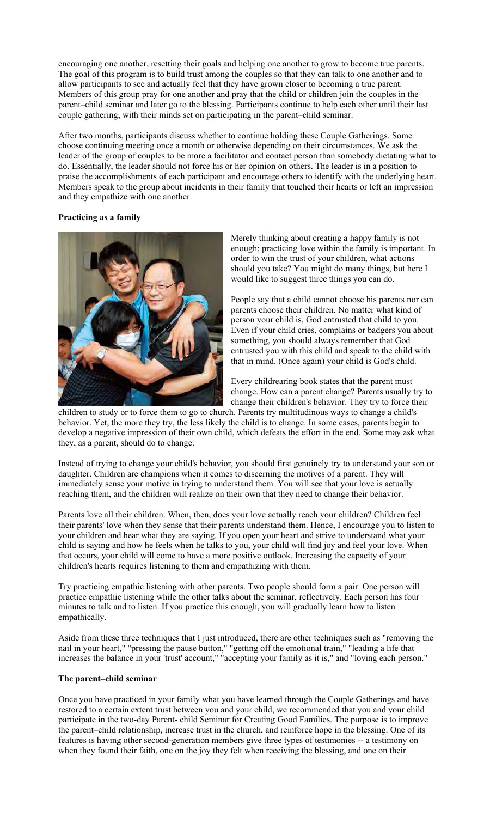encouraging one another, resetting their goals and helping one another to grow to become true parents. The goal of this program is to build trust among the couples so that they can talk to one another and to allow participants to see and actually feel that they have grown closer to becoming a true parent. Members of this group pray for one another and pray that the child or children join the couples in the parent–child seminar and later go to the blessing. Participants continue to help each other until their last couple gathering, with their minds set on participating in the parent–child seminar.

After two months, participants discuss whether to continue holding these Couple Gatherings. Some choose continuing meeting once a month or otherwise depending on their circumstances. We ask the leader of the group of couples to be more a facilitator and contact person than somebody dictating what to do. Essentially, the leader should not force his or her opinion on others. The leader is in a position to praise the accomplishments of each participant and encourage others to identify with the underlying heart. Members speak to the group about incidents in their family that touched their hearts or left an impression and they empathize with one another.

# **Practicing as a family**



Merely thinking about creating a happy family is not enough; practicing love within the family is important. In order to win the trust of your children, what actions should you take? You might do many things, but here I would like to suggest three things you can do.

People say that a child cannot choose his parents nor can parents choose their children. No matter what kind of person your child is, God entrusted that child to you. Even if your child cries, complains or badgers you about something, you should always remember that God entrusted you with this child and speak to the child with that in mind. (Once again) your child is God's child.

Every childrearing book states that the parent must change. How can a parent change? Parents usually try to change their children's behavior. They try to force their

children to study or to force them to go to church. Parents try multitudinous ways to change a child's behavior. Yet, the more they try, the less likely the child is to change. In some cases, parents begin to develop a negative impression of their own child, which defeats the effort in the end. Some may ask what they, as a parent, should do to change.

Instead of trying to change your child's behavior, you should first genuinely try to understand your son or daughter. Children are champions when it comes to discerning the motives of a parent. They will immediately sense your motive in trying to understand them. You will see that your love is actually reaching them, and the children will realize on their own that they need to change their behavior.

Parents love all their children. When, then, does your love actually reach your children? Children feel their parents' love when they sense that their parents understand them. Hence, I encourage you to listen to your children and hear what they are saying. If you open your heart and strive to understand what your child is saying and how he feels when he talks to you, your child will find joy and feel your love. When that occurs, your child will come to have a more positive outlook. Increasing the capacity of your children's hearts requires listening to them and empathizing with them.

Try practicing empathic listening with other parents. Two people should form a pair. One person will practice empathic listening while the other talks about the seminar, reflectively. Each person has four minutes to talk and to listen. If you practice this enough, you will gradually learn how to listen empathically.

Aside from these three techniques that I just introduced, there are other techniques such as "removing the nail in your heart," "pressing the pause button," "getting off the emotional train," "leading a life that increases the balance in your 'trust' account," "accepting your family as it is," and "loving each person."

#### **The parent–child seminar**

Once you have practiced in your family what you have learned through the Couple Gatherings and have restored to a certain extent trust between you and your child, we recommended that you and your child participate in the two-day Parent- child Seminar for Creating Good Families. The purpose is to improve the parent–child relationship, increase trust in the church, and reinforce hope in the blessing. One of its features is having other second-generation members give three types of testimonies -- a testimony on when they found their faith, one on the joy they felt when receiving the blessing, and one on their